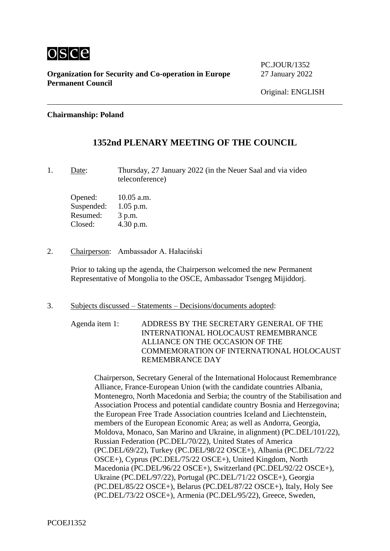

**Organization for Security and Co-operation in Europe** 27 January 2022 **Permanent Council**

PC.JOUR/1352

## **Chairmanship: Poland**

# **1352nd PLENARY MEETING OF THE COUNCIL**

1. Date: Thursday, 27 January 2022 (in the Neuer Saal and via video teleconference)

Opened: 10.05 a.m. Suspended: 1.05 p.m. Resumed: 3 p.m. Closed: 4.30 p.m.

2. Chairperson: Ambassador A. Hałaciński

Prior to taking up the agenda, the Chairperson welcomed the new Permanent Representative of Mongolia to the OSCE, Ambassador Tsengeg Mijiddorj.

3. Subjects discussed – Statements – Decisions/documents adopted:

Agenda item 1: ADDRESS BY THE SECRETARY GENERAL OF THE INTERNATIONAL HOLOCAUST REMEMBRANCE ALLIANCE ON THE OCCASION OF THE COMMEMORATION OF INTERNATIONAL HOLOCAUST REMEMBRANCE DAY

Chairperson, Secretary General of the International Holocaust Remembrance Alliance, France-European Union (with the candidate countries Albania, Montenegro, North Macedonia and Serbia; the country of the Stabilisation and Association Process and potential candidate country Bosnia and Herzegovina; the European Free Trade Association countries Iceland and Liechtenstein, members of the European Economic Area; as well as Andorra, Georgia, Moldova, Monaco, San Marino and Ukraine, in alignment) (PC.DEL/101/22), Russian Federation (PC.DEL/70/22), United States of America (PC.DEL/69/22), Turkey (PC.DEL/98/22 OSCE+), Albania (PC.DEL/72/22 OSCE+), Cyprus (PC.DEL/75/22 OSCE+), United Kingdom, North Macedonia (PC.DEL/96/22 OSCE+), Switzerland (PC.DEL/92/22 OSCE+), Ukraine (PC.DEL/97/22), Portugal (PC.DEL/71/22 OSCE+), Georgia (PC.DEL/85/22 OSCE+), Belarus (PC.DEL/87/22 OSCE+), Italy, Holy See (PC.DEL/73/22 OSCE+), Armenia (PC.DEL/95/22), Greece, Sweden,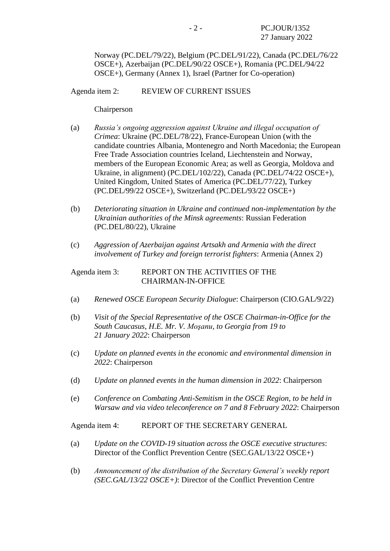Norway (PC.DEL/79/22), Belgium (PC.DEL/91/22), Canada (PC.DEL/76/22 OSCE+), Azerbaijan (PC.DEL/90/22 OSCE+), Romania (PC.DEL/94/22 OSCE+), Germany (Annex 1), Israel (Partner for Co-operation)

Agenda item 2: REVIEW OF CURRENT ISSUES

Chairperson

- (a) *Russia's ongoing aggression against Ukraine and illegal occupation of Crimea*: Ukraine (PC.DEL/78/22), France-European Union (with the candidate countries Albania, Montenegro and North Macedonia; the European Free Trade Association countries Iceland, Liechtenstein and Norway, members of the European Economic Area; as well as Georgia, Moldova and Ukraine, in alignment) (PC.DEL/102/22), Canada (PC.DEL/74/22 OSCE+), United Kingdom, United States of America (PC.DEL/77/22), Turkey (PC.DEL/99/22 OSCE+), Switzerland (PC.DEL/93/22 OSCE+)
- (b) *Deteriorating situation in Ukraine and continued non-implementation by the Ukrainian authorities of the Minsk agreements*: Russian Federation (PC.DEL/80/22), Ukraine
- (c) *Aggression of Azerbaijan against Artsakh and Armenia with the direct involvement of Turkey and foreign terrorist fighters*: Armenia (Annex 2)

### Agenda item 3: REPORT ON THE ACTIVITIES OF THE CHAIRMAN-IN-OFFICE

- (a) *Renewed OSCE European Security Dialogue*: Chairperson (CIO.GAL/9/22)
- (b) *Visit of the Special Representative of the OSCE Chairman-in-Office for the South Caucasus, H.E. Mr. V. Moşanu, to Georgia from 19 to 21 January 2022*: Chairperson
- (c) *Update on planned events in the economic and environmental dimension in 2022*: Chairperson
- (d) *Update on planned events in the human dimension in 2022*: Chairperson
- (e) *Conference on Combating Anti-Semitism in the OSCE Region, to be held in Warsaw and via video teleconference on 7 and 8 February 2022*: Chairperson

Agenda item 4: REPORT OF THE SECRETARY GENERAL

- (a) *Update on the COVID-19 situation across the OSCE executive structures*: Director of the Conflict Prevention Centre (SEC.GAL/13/22 OSCE+)
- (b) *Announcement of the distribution of the Secretary General's weekly report (SEC.GAL/13/22 OSCE+)*: Director of the Conflict Prevention Centre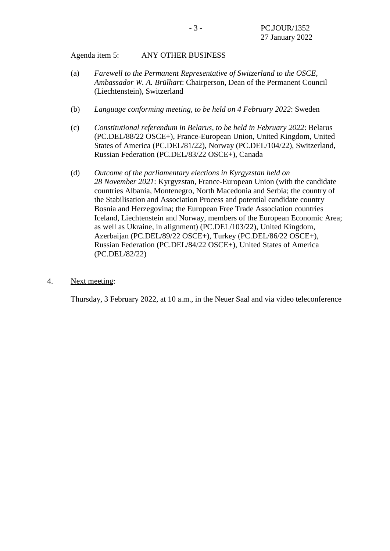Agenda item 5: ANY OTHER BUSINESS

- (a) *Farewell to the Permanent Representative of Switzerland to the OSCE, Ambassador W. A. Brülhart*: Chairperson, Dean of the Permanent Council (Liechtenstein), Switzerland
- (b) *Language conforming meeting, to be held on 4 February 2022*: Sweden
- (c) *Constitutional referendum in Belarus, to be held in February 2022*: Belarus (PC.DEL/88/22 OSCE+), France-European Union, United Kingdom, United States of America (PC.DEL/81/22), Norway (PC.DEL/104/22), Switzerland, Russian Federation (PC.DEL/83/22 OSCE+), Canada
- (d) *Outcome of the parliamentary elections in Kyrgyzstan held on 28 November 2021*: Kyrgyzstan, France-European Union (with the candidate countries Albania, Montenegro, North Macedonia and Serbia; the country of the Stabilisation and Association Process and potential candidate country Bosnia and Herzegovina; the European Free Trade Association countries Iceland, Liechtenstein and Norway, members of the European Economic Area; as well as Ukraine, in alignment) (PC.DEL/103/22), United Kingdom, Azerbaijan (PC.DEL/89/22 OSCE+), Turkey (PC.DEL/86/22 OSCE+), Russian Federation (PC.DEL/84/22 OSCE+), United States of America (PC.DEL/82/22)
- 4. Next meeting:

Thursday, 3 February 2022, at 10 a.m., in the Neuer Saal and via video teleconference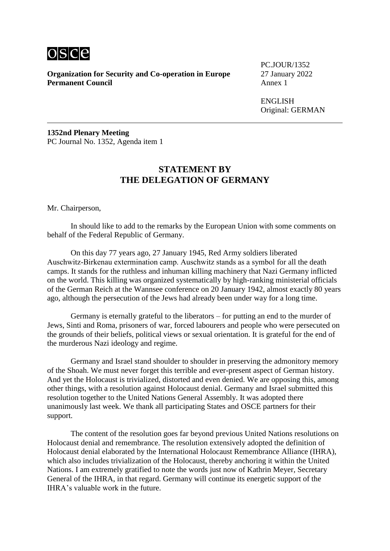

**Organization for Security and Co-operation in Europe** 27 January 2022<br>**Permanent Council** Annex 1 **Permanent Council** 

PC.JOUR/1352

ENGLISH Original: GERMAN

**1352nd Plenary Meeting** PC Journal No. 1352, Agenda item 1

## **STATEMENT BY THE DELEGATION OF GERMANY**

Mr. Chairperson,

In should like to add to the remarks by the European Union with some comments on behalf of the Federal Republic of Germany.

On this day 77 years ago, 27 January 1945, Red Army soldiers liberated Auschwitz‑Birkenau extermination camp. Auschwitz stands as a symbol for all the death camps. It stands for the ruthless and inhuman killing machinery that Nazi Germany inflicted on the world. This killing was organized systematically by high-ranking ministerial officials of the German Reich at the Wannsee conference on 20 January 1942, almost exactly 80 years ago, although the persecution of the Jews had already been under way for a long time.

Germany is eternally grateful to the liberators – for putting an end to the murder of Jews, Sinti and Roma, prisoners of war, forced labourers and people who were persecuted on the grounds of their beliefs, political views or sexual orientation. It is grateful for the end of the murderous Nazi ideology and regime.

Germany and Israel stand shoulder to shoulder in preserving the admonitory memory of the Shoah. We must never forget this terrible and ever-present aspect of German history. And yet the Holocaust is trivialized, distorted and even denied. We are opposing this, among other things, with a resolution against Holocaust denial. Germany and Israel submitted this resolution together to the United Nations General Assembly. It was adopted there unanimously last week. We thank all participating States and OSCE partners for their support.

The content of the resolution goes far beyond previous United Nations resolutions on Holocaust denial and remembrance. The resolution extensively adopted the definition of Holocaust denial elaborated by the International Holocaust Remembrance Alliance (IHRA), which also includes trivialization of the Holocaust, thereby anchoring it within the United Nations. I am extremely gratified to note the words just now of Kathrin Meyer, Secretary General of the IHRA, in that regard. Germany will continue its energetic support of the IHRA's valuable work in the future.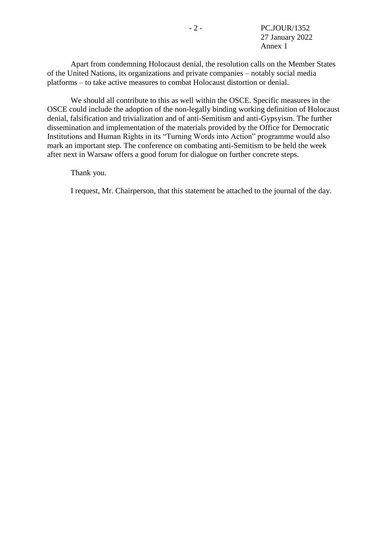Apart from condemning Holocaust denial, the resolution calls on the Member States of the United Nations, its organizations and private companies – notably social media platforms – to take active measures to combat Holocaust distortion or denial.

We should all contribute to this as well within the OSCE. Specific measures in the OSCE could include the adoption of the non-legally binding working definition of Holocaust denial, falsification and trivialization and of anti-Semitism and anti-Gypsyism. The further dissemination and implementation of the materials provided by the Office for Democratic Institutions and Human Rights in its "Turning Words into Action" programme would also mark an important step. The conference on combating anti-Semitism to be held the week after next in Warsaw offers a good forum for dialogue on further concrete steps.

Thank you.

I request, Mr. Chairperson, that this statement be attached to the journal of the day.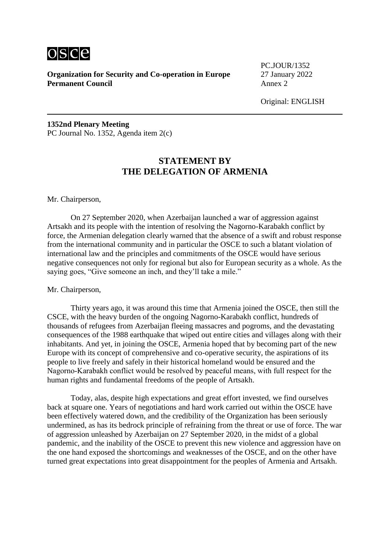

**Organization for Security and Co-operation in Europe** 27 January 2022 **Permanent Council** Annex 2

PC.JOUR/1352

Original: ENGLISH

**1352nd Plenary Meeting** PC Journal No. 1352, Agenda item 2(c)

# **STATEMENT BY THE DELEGATION OF ARMENIA**

#### Mr. Chairperson,

On 27 September 2020, when Azerbaijan launched a war of aggression against Artsakh and its people with the intention of resolving the Nagorno-Karabakh conflict by force, the Armenian delegation clearly warned that the absence of a swift and robust response from the international community and in particular the OSCE to such a blatant violation of international law and the principles and commitments of the OSCE would have serious negative consequences not only for regional but also for European security as a whole. As the saying goes, "Give someone an inch, and they'll take a mile."

#### Mr. Chairperson,

Thirty years ago, it was around this time that Armenia joined the OSCE, then still the CSCE, with the heavy burden of the ongoing Nagorno-Karabakh conflict, hundreds of thousands of refugees from Azerbaijan fleeing massacres and pogroms, and the devastating consequences of the 1988 earthquake that wiped out entire cities and villages along with their inhabitants. And yet, in joining the OSCE, Armenia hoped that by becoming part of the new Europe with its concept of comprehensive and co-operative security, the aspirations of its people to live freely and safely in their historical homeland would be ensured and the Nagorno‑Karabakh conflict would be resolved by peaceful means, with full respect for the human rights and fundamental freedoms of the people of Artsakh.

Today, alas, despite high expectations and great effort invested, we find ourselves back at square one. Years of negotiations and hard work carried out within the OSCE have been effectively watered down, and the credibility of the Organization has been seriously undermined, as has its bedrock principle of refraining from the threat or use of force. The war of aggression unleashed by Azerbaijan on 27 September 2020, in the midst of a global pandemic, and the inability of the OSCE to prevent this new violence and aggression have on the one hand exposed the shortcomings and weaknesses of the OSCE, and on the other have turned great expectations into great disappointment for the peoples of Armenia and Artsakh.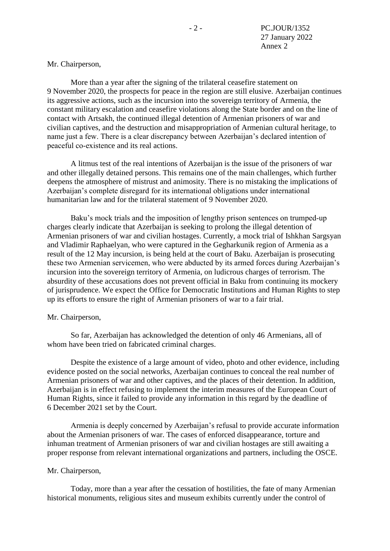### Mr. Chairperson,

More than a year after the signing of the trilateral ceasefire statement on 9 November 2020, the prospects for peace in the region are still elusive. Azerbaijan continues its aggressive actions, such as the incursion into the sovereign territory of Armenia, the constant military escalation and ceasefire violations along the State border and on the line of contact with Artsakh, the continued illegal detention of Armenian prisoners of war and civilian captives, and the destruction and misappropriation of Armenian cultural heritage, to name just a few. There is a clear discrepancy between Azerbaijan's declared intention of peaceful co‑existence and its real actions.

A litmus test of the real intentions of Azerbaijan is the issue of the prisoners of war and other illegally detained persons. This remains one of the main challenges, which further deepens the atmosphere of mistrust and animosity. There is no mistaking the implications of Azerbaijan's complete disregard for its international obligations under international humanitarian law and for the trilateral statement of 9 November 2020.

Baku's mock trials and the imposition of lengthy prison sentences on trumped-up charges clearly indicate that Azerbaijan is seeking to prolong the illegal detention of Armenian prisoners of war and civilian hostages. Currently, a mock trial of Ishkhan Sargsyan and Vladimir Raphaelyan, who were captured in the Gegharkunik region of Armenia as a result of the 12 May incursion, is being held at the court of Baku. Azerbaijan is prosecuting these two Armenian servicemen, who were abducted by its armed forces during Azerbaijan's incursion into the sovereign territory of Armenia, on ludicrous charges of terrorism. The absurdity of these accusations does not prevent official in Baku from continuing its mockery of jurisprudence. We expect the Office for Democratic Institutions and Human Rights to step up its efforts to ensure the right of Armenian prisoners of war to a fair trial.

#### Mr. Chairperson,

So far, Azerbaijan has acknowledged the detention of only 46 Armenians, all of whom have been tried on fabricated criminal charges.

Despite the existence of a large amount of video, photo and other evidence, including evidence posted on the social networks, Azerbaijan continues to conceal the real number of Armenian prisoners of war and other captives, and the places of their detention. In addition, Azerbaijan is in effect refusing to implement the interim measures of the European Court of Human Rights, since it failed to provide any information in this regard by the deadline of 6 December 2021 set by the Court.

Armenia is deeply concerned by Azerbaijan's refusal to provide accurate information about the Armenian prisoners of war. The cases of enforced disappearance, torture and inhuman treatment of Armenian prisoners of war and civilian hostages are still awaiting a proper response from relevant international organizations and partners, including the OSCE.

#### Mr. Chairperson,

Today, more than a year after the cessation of hostilities, the fate of many Armenian historical monuments, religious sites and museum exhibits currently under the control of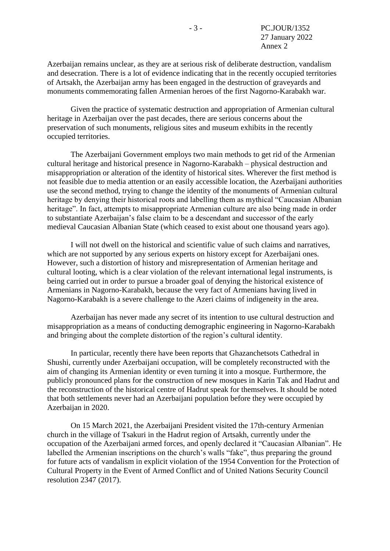Azerbaijan remains unclear, as they are at serious risk of deliberate destruction, vandalism and desecration. There is a lot of evidence indicating that in the recently occupied territories of Artsakh, the Azerbaijan army has been engaged in the destruction of graveyards and monuments commemorating fallen Armenian heroes of the first Nagorno-Karabakh war.

Given the practice of systematic destruction and appropriation of Armenian cultural heritage in Azerbaijan over the past decades, there are serious concerns about the preservation of such monuments, religious sites and museum exhibits in the recently occupied territories.

The Azerbaijani Government employs two main methods to get rid of the Armenian cultural heritage and historical presence in Nagorno-Karabakh – physical destruction and misappropriation or alteration of the identity of historical sites. Wherever the first method is not feasible due to media attention or an easily accessible location, the Azerbaijani authorities use the second method, trying to change the identity of the monuments of Armenian cultural heritage by denying their historical roots and labelling them as mythical "Caucasian Albanian heritage". In fact, attempts to misappropriate Armenian culture are also being made in order to substantiate Azerbaijan's false claim to be a descendant and successor of the early medieval Caucasian Albanian State (which ceased to exist about one thousand years ago).

I will not dwell on the historical and scientific value of such claims and narratives, which are not supported by any serious experts on history except for Azerbaijani ones. However, such a distortion of history and misrepresentation of Armenian heritage and cultural looting, which is a clear violation of the relevant international legal instruments, is being carried out in order to pursue a broader goal of denying the historical existence of Armenians in Nagorno-Karabakh, because the very fact of Armenians having lived in Nagorno-Karabakh is a severe challenge to the Azeri claims of indigeneity in the area.

Azerbaijan has never made any secret of its intention to use cultural destruction and misappropriation as a means of conducting demographic engineering in Nagorno-Karabakh and bringing about the complete distortion of the region's cultural identity.

In particular, recently there have been reports that Ghazanchetsots Cathedral in Shushi, currently under Azerbaijani occupation, will be completely reconstructed with the aim of changing its Armenian identity or even turning it into a mosque. Furthermore, the publicly pronounced plans for the construction of new mosques in Karin Tak and Hadrut and the reconstruction of the historical centre of Hadrut speak for themselves. It should be noted that both settlements never had an Azerbaijani population before they were occupied by Azerbaijan in 2020.

On 15 March 2021, the Azerbaijani President visited the 17th-century Armenian church in the village of Tsakuri in the Hadrut region of Artsakh, currently under the occupation of the Azerbaijani armed forces, and openly declared it "Caucasian Albanian". He labelled the Armenian inscriptions on the church's walls "fake", thus preparing the ground for future acts of vandalism in explicit violation of the 1954 Convention for the Protection of Cultural Property in the Event of Armed Conflict and of United Nations Security Council resolution 2347 (2017).